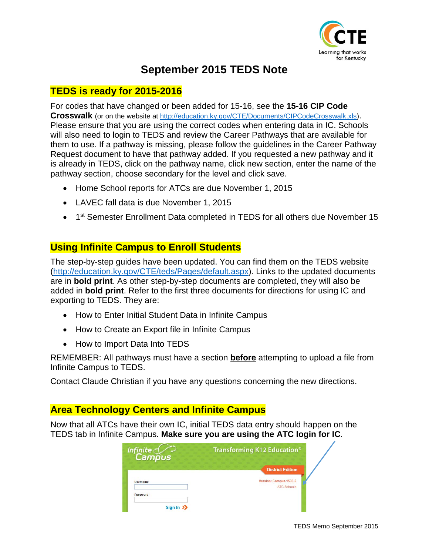

# **September 2015 TEDS Note**

### **TEDS is ready for 2015-2016**

For codes that have changed or been added for 15-16, see the **15-16 CIP Code Crosswalk** [\(or on the website at](#page--1-0) [http://education.ky.gov/CTE/Documents/CIPCodeCrosswalk.xls\)](http://education.ky.gov/CTE/Documents/CIPCodeCrosswalk.xls). Please ensure that you are using the correct codes when entering data in IC. Schools will also need to login to TEDS and review the Career Pathways that are available for them to use. If a pathway is missing, please follow the guidelines in the Career Pathway Request document to have that pathway added. If you requested a new pathway and it is already in TEDS, click on the pathway name, click new section, enter the name of the pathway section, choose secondary for the level and click save.

- Home School reports for ATCs are due November 1, 2015
- LAVEC fall data is due November 1, 2015
- 1<sup>st</sup> Semester Enrollment Data completed in TEDS for all others due November 15

### **Using Infinite Campus to Enroll Students**

The step-by-step guides have been updated. You can find them on the TEDS website [\(http://education.ky.gov/CTE/teds/Pages/default.aspx\)](http://education.ky.gov/CTE/teds/Pages/default.aspx). Links to the updated documents are in **bold print**. As other step-by-step documents are completed, they will also be added in **bold print**. Refer to the first three documents for directions for using IC and exporting to TEDS. They are:

- How to Enter Initial Student Data in Infinite Campus
- How to Create an Export file in Infinite Campus
- How to Import Data Into TEDS

REMEMBER: All pathways must have a section **before** attempting to upload a file from Infinite Campus to TEDS.

Contact Claude Christian if you have any questions concerning the new directions.

### **Area Technology Centers and Infinite Campus**

Now that all ATCs have their own IC, initial TEDS data entry should happen on the TEDS tab in Infinite Campus. **Make sure you are using the ATC login for IC**.

| Infinite<br>Campus | Transforming K12 Education®                  |
|--------------------|----------------------------------------------|
|                    | <b>District Edition</b>                      |
| <b>Username</b>    | Version: Campus.1533.5<br><b>ATC Schools</b> |
| Password           |                                              |
| Sign In $\sum$     |                                              |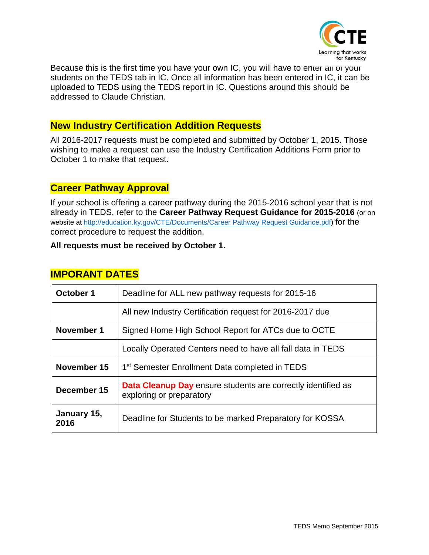

Because this is the first time you have your own IC, you will have to enter all of your students on the TEDS tab in IC. Once all information has been entered in IC, it can be uploaded to TEDS using the TEDS report in IC. Questions around this should be addressed to Claude Christian.

### **New Industry Certification Addition Requests**

All 2016-2017 requests must be completed and submitted by October 1, 2015. Those wishing to make a request can use the Industry Certification Additions Form prior to October 1 to make that request.

#### **Career Pathway Approval**

If your school is offering a career pathway during the 2015-2016 school year that is not already in TEDS, refer to the **[Career Pathway Request Guidance for 2015-2016](#page-5-0)** (or on website at [http://education.ky.gov/CTE/Documents/Career Pathway Request Guidance.pdf\)](http://education.ky.gov/CTE/Documents/Career%20Pathway%20Request%20Guidance.pdf) for the correct procedure to request the addition.

#### **All requests must be received by October 1.**

### **IMPORANT DATES**

| October 1           | Deadline for ALL new pathway requests for 2015-16                                               |  |  |
|---------------------|-------------------------------------------------------------------------------------------------|--|--|
|                     | All new Industry Certification request for 2016-2017 due                                        |  |  |
| November 1          | Signed Home High School Report for ATCs due to OCTE                                             |  |  |
|                     | Locally Operated Centers need to have all fall data in TEDS                                     |  |  |
| November 15         | 1 <sup>st</sup> Semester Enrollment Data completed in TEDS                                      |  |  |
| December 15         | <b>Data Cleanup Day</b> ensure students are correctly identified as<br>exploring or preparatory |  |  |
| January 15,<br>2016 | Deadline for Students to be marked Preparatory for KOSSA                                        |  |  |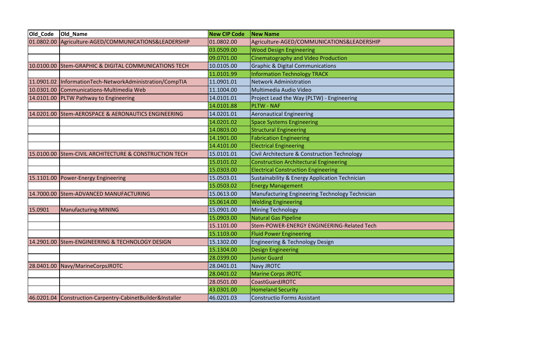<span id="page-2-0"></span>

| Old_Code   | Old Name                                                   | <b>New CIP Code</b> | <b>New Name</b>                                 |
|------------|------------------------------------------------------------|---------------------|-------------------------------------------------|
| 01.0802.00 | Agriculture-AGED/COMMUNICATIONS&LEADERSHIP                 | 01.0802.00          | Agriculture-AGED/COMMUNICATIONS&LEADERSHIP      |
|            |                                                            | 03.0509.00          | <b>Wood Design Engineering</b>                  |
|            |                                                            | 09.0701.00          | Cinematography and Video Production             |
| 10.0100.00 | <b>Stem-GRAPHIC &amp; DIGITAL COMMUNICATIONS TECH</b>      | 10.0105.00          | <b>Graphic &amp; Digital Communications</b>     |
|            |                                                            | 11.0101.99          | <b>Information Technology TRACK</b>             |
| 11.0901.02 | InformationTech-NetworkAdministration/CompTIA              | 11.0901.01          | <b>Network Administration</b>                   |
| 10.0301.00 | Communications-Multimedia Web                              | 11.1004.00          | Multimedia Audio Video                          |
| 14.0101.00 | <b>PLTW Pathway to Engineering</b>                         | 14.0101.01          | Project Lead the Way (PLTW) - Engineering       |
|            |                                                            | 14.0101.88          | <b>PLTW - NAF</b>                               |
|            | 14.0201.00 Stem-AEROSPACE & AERONAUTICS ENGINEERING        | 14.0201.01          | <b>Aeronautical Engineering</b>                 |
|            |                                                            | 14.0201.02          | <b>Space Systems Engineering</b>                |
|            |                                                            | 14.0803.00          | <b>Structural Engineering</b>                   |
|            |                                                            | 14.1901.00          | <b>Fabrication Engineering</b>                  |
|            |                                                            | 14.4101.00          | <b>Electrical Engineering</b>                   |
| 15.0100.00 | <b>Stem-CIVIL ARCHITECTURE &amp; CONSTRUCTION TECH</b>     | 15.0101.01          | Civil Architecture & Construction Technology    |
|            |                                                            | 15.0101.02          | <b>Construction Architectural Engineering</b>   |
|            |                                                            | 15.0303.00          | <b>Electrical Construction Engineering</b>      |
| 15.1101.00 | Power-Energy Engineering                                   | 15.0503.01          | Sustainability & Energy Application Technician  |
|            |                                                            | 15.0503.02          | <b>Energy Management</b>                        |
|            | 14.7000.00 Stem-ADVANCED MANUFACTURING                     | 15.0613.00          | Manufacturing Engineering Technology Technician |
|            |                                                            | 15.0614.00          | <b>Welding Engineering</b>                      |
| 15.0901    | Manufacturing-MINING                                       | 15.0901.00          | Mining Technology                               |
|            |                                                            | 15.0903.00          | Natural Gas Pipeline                            |
|            |                                                            | 15.1101.00          | Stem-POWER-ENERGY ENGINEERING-Related Tech      |
|            |                                                            | 15.1103.00          | <b>Fluid Power Engineering</b>                  |
| 14.2901.00 | Stem-ENGINEERING & TECHNOLOGY DESIGN                       | 15.1302.00          | Engineering & Technology Design                 |
|            |                                                            | 15.1304.00          | <b>Design Engineering</b>                       |
|            |                                                            | 28.0399.00          | <b>Junior Guard</b>                             |
| 28.0401.00 | Navy/MarineCorpsJROTC                                      | 28.0401.01          | Navy JROTC                                      |
|            |                                                            | 28.0401.02          | <b>Marine Corps JROTC</b>                       |
|            |                                                            | 28.0501.00          | <b>CoastGuardJROTC</b>                          |
|            |                                                            | 43.0301.00          | <b>Homeland Security</b>                        |
|            | 46.0201.04 Construction-Carpentry-CabinetBuilder&Installer | 46.0201.03          | <b>Constructio Forms Assistant</b>              |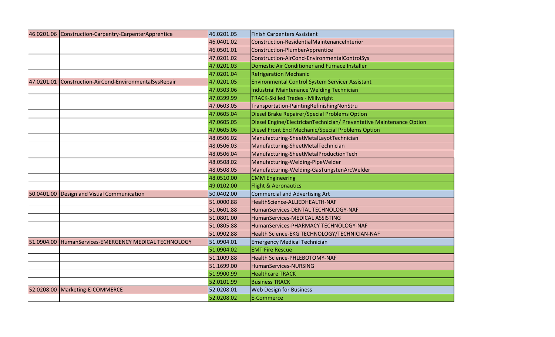|            | 46.0201.06 Construction-Carpentry-CarpenterApprentice | 46.0201.05 | <b>Finish Carpenters Assistant</b>                                   |
|------------|-------------------------------------------------------|------------|----------------------------------------------------------------------|
|            |                                                       | 46.0401.02 | Construction-ResidentialMaintenanceInterior                          |
|            |                                                       | 46.0501.01 | Construction-PlumberApprentice                                       |
|            |                                                       | 47.0201.02 | Construction-AirCond-EnvironmentalControlSys                         |
|            |                                                       | 47.0201.03 | Domestic Air Conditioner and Furnace Installer                       |
|            |                                                       | 47.0201.04 | <b>Refrigeration Mechanic</b>                                        |
| 47.0201.01 | Construction-AirCond-EnvironmentalSysRepair           | 47.0201.05 | <b>Environmental Control System Servicer Assistant</b>               |
|            |                                                       | 47.0303.06 | <b>Industrial Maintenance Welding Technician</b>                     |
|            |                                                       | 47.0399.99 | <b>TRACK-Skilled Trades - Millwright</b>                             |
|            |                                                       | 47.0603.05 | Transportation-PaintingRefinishingNonStru                            |
|            |                                                       | 47.0605.04 | Diesel Brake Repairer/Special Problems Option                        |
|            |                                                       | 47.0605.05 | Diesel Engine/ElectricianTechnician/ Preventative Maintenance Option |
|            |                                                       | 47.0605.06 | Diesel Front End Mechanic/Special Problems Option                    |
|            |                                                       | 48.0506.02 | Manufacturing-SheetMetalLayotTechnician                              |
|            |                                                       | 48.0506.03 | Manufacturing-SheetMetalTechnician                                   |
|            |                                                       | 48.0506.04 | Manufacturing-SheetMetalProductionTech                               |
|            |                                                       | 48.0508.02 | Manufacturing-Welding-PipeWelder                                     |
|            |                                                       | 48.0508.05 | Manufacturing-Welding-GasTungstenArcWelder                           |
|            |                                                       | 48.0510.00 | <b>CMM Engineering</b>                                               |
|            |                                                       | 49.0102.00 | Flight & Aeronautics                                                 |
| 50.0401.00 | Design and Visual Communication                       | 50.0402.00 | <b>Commercial and Advertising Art</b>                                |
|            |                                                       | 51.0000.88 | HealthScience-ALLIEDHEALTH-NAF                                       |
|            |                                                       | 51.0601.88 | HumanServices-DENTAL TECHNOLOGY-NAF                                  |
|            |                                                       | 51.0801.00 | HumanServices-MEDICAL ASSISTING                                      |
|            |                                                       | 51.0805.88 | HumanServices-PHARMACY TECHNOLOGY-NAF                                |
|            |                                                       | 51.0902.88 | Health Science-EKG TECHNOLOGY/TECHNICIAN-NAF                         |
| 51.0904.00 | HumanServices-EMERGENCY MEDICAL TECHNOLOGY            | 51.0904.01 | <b>Emergency Medical Technician</b>                                  |
|            |                                                       | 51.0904.02 | <b>EMT Fire Rescue</b>                                               |
|            |                                                       | 51.1009.88 | Health Science-PHLEBOTOMY-NAF                                        |
|            |                                                       | 51.1699.00 | HumanServices-NURSING                                                |
|            |                                                       | 51.9900.99 | <b>Healthcare TRACK</b>                                              |
|            |                                                       | 52.0101.99 | <b>Business TRACK</b>                                                |
| 52.0208.00 | Marketing-E-COMMERCE                                  | 52.0208.01 | <b>Web Design for Business</b>                                       |
|            |                                                       | 52.0208.02 | E-Commerce                                                           |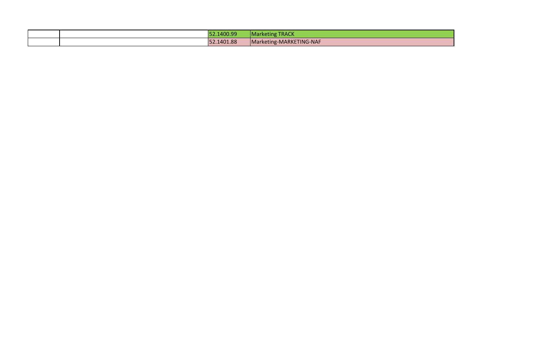|  | 52.1400.99 | <b>Marketing TRACK</b>  |
|--|------------|-------------------------|
|  | 52.1401.88 | Marketing-MARKETING-NAF |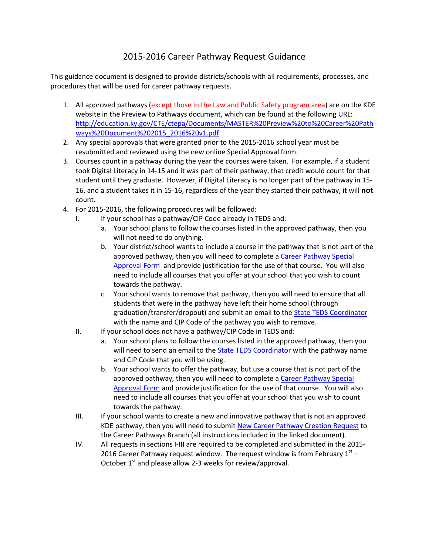### 2015-2016 Career Pathway Request Guidance

<span id="page-5-0"></span>This guidance document is designed to provide districts/schools with all requirements, processes, and procedures that will be used for career pathway requests.

- 1. All approved pathways (except those in the Law and Public Safety program area) are on the KDE website in the Preview to Pathways document, which can be found at the following URL: [http://education.ky.gov/CTE/ctepa/Documents/MASTER%20Preview%20to%20Career%20Path](http://education.ky.gov/CTE/ctepa/Documents/MASTER%20Preview%20to%20Career%20Pathways%20Document%202015_2016%20v1.pdf) [ways%20Document%202015\\_2016%20v1.pdf](http://education.ky.gov/CTE/ctepa/Documents/MASTER%20Preview%20to%20Career%20Pathways%20Document%202015_2016%20v1.pdf)
- 2. Any special approvals that were granted prior to the 2015-2016 school year must be resubmitted and reviewed using the new online Special Approval form.
- 3. Courses count in a pathway during the year the courses were taken. For example, if a student took Digital Literacy in 14-15 and it was part of their pathway, that credit would count for that student until they graduate. However, if Digital Literacy is no longer part of the pathway in 15- 16, and a student takes it in 15-16, regardless of the year they started their pathway, it will **not** count.
- 4. For 2015-2016, the following procedures will be followed:
	- I. If your school has a pathway/CIP Code already in TEDS and:
		- a. Your school plans to follow the courses listed in the approved pathway, then you will not need to do anything.
		- b. Your district/school wants to include a course in the pathway that is not part of the approved pathway, then you will need to complete [a Career Pathway Special](https://staffkyschools.sharepoint.com/sites/kde/pathways/Lists/Pathway%20Special%20Approval%20Form/NewForm.aspx)  [Approval](https://staffkyschools.sharepoint.com/sites/kde/pathways/Lists/Pathway%20Special%20Approval%20Form/NewForm.aspx) Form and provide justification for the use of that course. You will also need to include all courses that you offer at your school that you wish to count towards the pathway.
		- c. Your school wants to remove that pathway, then you will need to ensure that all students that were in the pathway have left their home school (through graduation/transfer/dropout) and submit an email to the [State TEDS Coordinator](mailto:kiley.whitaker@education.ky.gov) with the name and CIP Code of the pathway you wish to remove.
	- II. If your school does not have a pathway/CIP Code in TEDS and:
		- a. Your school plans to follow the courses listed in the approved pathway, then you will need to send an email to the **State TEDS Coordinator** with the pathway name and CIP Code that you will be using.
		- b. Your school wants to offer the pathway, but use a course that is not part of the approved pathway, then you will need to complete [a Career Pathway Special](https://staffkyschools.sharepoint.com/sites/kde/pathways/Lists/Pathway%20Special%20Approval%20Form/NewForm.aspx)  [Approval Form](https://staffkyschools.sharepoint.com/sites/kde/pathways/Lists/Pathway%20Special%20Approval%20Form/NewForm.aspx) and provide justification for the use of that course. You will also need to include all courses that you offer at your school that you wish to count towards the pathway.
	- III. If your school wants to create a new and innovative pathway that is not an approved KDE pathway, then you will need to submi[t New Career Pathway Creation Request](http://education.ky.gov/CTE/Documents/New%20Career%20Pathway%20Creation%20Request.docx) to the Career Pathways Branch (all instructions included in the linked document).
	- IV. All requests in sections I-III are required to be completed and submitted in the 2015- 2016 Career Pathway request window. The request window is from February  $1<sup>st</sup>$  – October  $1^{st}$  and please allow 2-3 weeks for review/approval.